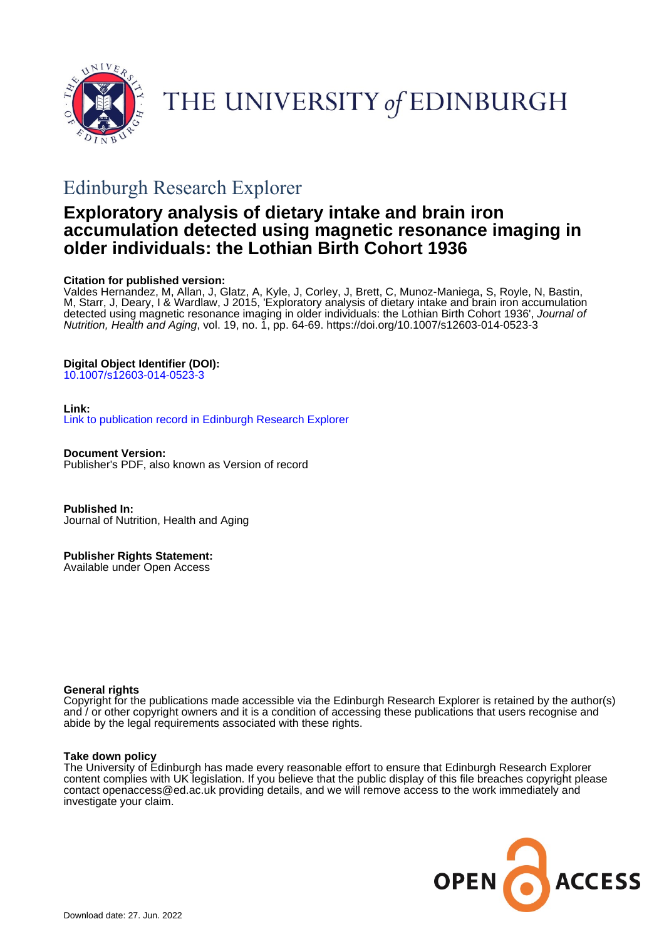



# Edinburgh Research Explorer

# **Exploratory analysis of dietary intake and brain iron accumulation detected using magnetic resonance imaging in older individuals: the Lothian Birth Cohort 1936**

# **Citation for published version:**

Valdes Hernandez, M, Allan, J, Glatz, A, Kyle, J, Corley, J, Brett, C, Munoz-Maniega, S, Royle, N, Bastin, M, Starr, J, Deary, I & Wardlaw, J 2015, 'Exploratory analysis of dietary intake and brain iron accumulation detected using magnetic resonance imaging in older individuals: the Lothian Birth Cohort 1936', Journal of Nutrition, Health and Aging, vol. 19, no. 1, pp. 64-69. <https://doi.org/10.1007/s12603-014-0523-3>

## **Digital Object Identifier (DOI):**

[10.1007/s12603-014-0523-3](https://doi.org/10.1007/s12603-014-0523-3)

## **Link:**

[Link to publication record in Edinburgh Research Explorer](https://www.research.ed.ac.uk/en/publications/a710fd3f-7e90-496f-b5c6-1860cdbc5fd8)

**Document Version:** Publisher's PDF, also known as Version of record

**Published In:** Journal of Nutrition, Health and Aging

**Publisher Rights Statement:** Available under Open Access

## **General rights**

Copyright for the publications made accessible via the Edinburgh Research Explorer is retained by the author(s) and / or other copyright owners and it is a condition of accessing these publications that users recognise and abide by the legal requirements associated with these rights.

## **Take down policy**

The University of Edinburgh has made every reasonable effort to ensure that Edinburgh Research Explorer content complies with UK legislation. If you believe that the public display of this file breaches copyright please contact openaccess@ed.ac.uk providing details, and we will remove access to the work immediately and investigate your claim.

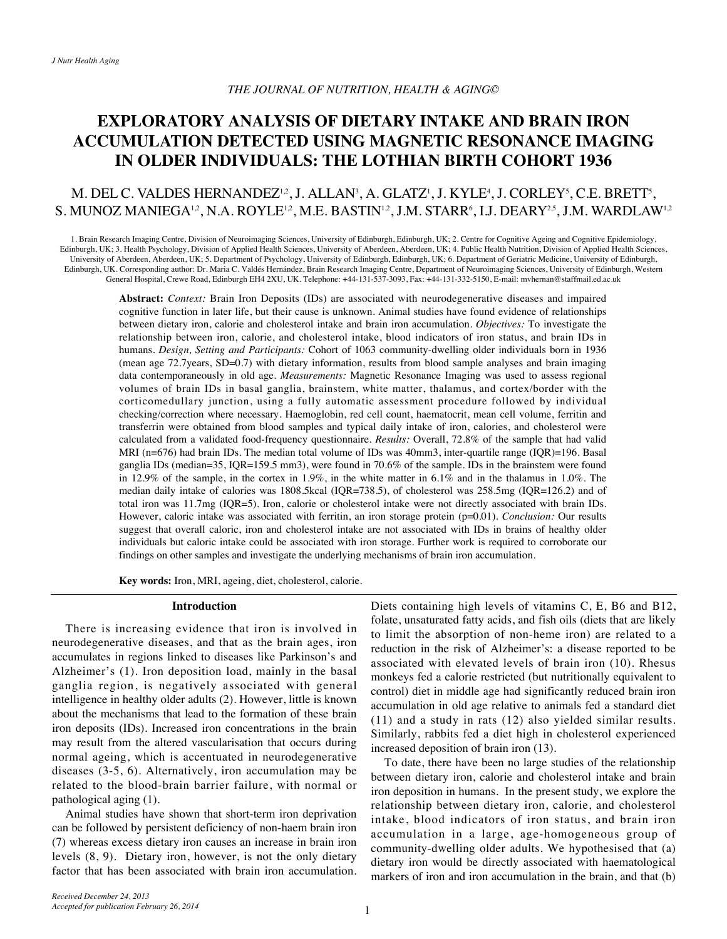# **EXPLORATORY ANALYSIS OF DIETARY INTAKE AND BRAIN IRON ACCUMULATION DETECTED USING MAGNETIC RESONANCE IMAGING IN OLDER INDIVIDUALS: THE LOTHIAN BIRTH COHORT 1936**

# M. DEL C. VALDES HERNANDEZ<sup>1,2</sup>, J. ALLAN<sup>3</sup>, A. GLATZ<sup>1</sup>, J. KYLE<sup>4</sup>, J. CORLEY<sup>5</sup>, C.E. BRETT<sup>5</sup>, S. MUNOZ MANIEGA'<sup>12</sup>, N.A. ROYLE'<sup>12</sup>, M.E. BASTIN'<sup>12</sup>, J.M. STARR<sup>6</sup>, I.J. DEARY<sup>25</sup>, J.M. WARDLAW'<sup>12</sup>

1. Brain Research Imaging Centre, Division of Neuroimaging Sciences, University of Edinburgh, Edinburgh, UK; 2. Centre for Cognitive Ageing and Cognitive Epidemiology, Edinburgh, UK; 3. Health Psychology, Division of Applied Health Sciences, University of Aberdeen, Aberdeen, UK; 4. Public Health Nutrition, Division of Applied Health Sciences, University of Aberdeen, Aberdeen, UK; 5. Department of Psychology, University of Edinburgh, Edinburgh, UK; 6. Department of Geriatric Medicine, University of Edinburgh, Edinburgh, UK. Corresponding author: Dr. Maria C. Valdés Hernández, Brain Research Imaging Centre, Department of Neuroimaging Sciences, University of Edinburgh, Western General Hospital, Crewe Road, Edinburgh EH4 2XU, UK. Telephone: +44-131-537-3093, Fax: +44-131-332-5150, E-mail: mvhernan@staffmail.ed.ac.uk

**Abstract:** *Context:* Brain Iron Deposits (IDs) are associated with neurodegenerative diseases and impaired cognitive function in later life, but their cause is unknown. Animal studies have found evidence of relationships between dietary iron, calorie and cholesterol intake and brain iron accumulation. *Objectives:* To investigate the relationship between iron, calorie, and cholesterol intake, blood indicators of iron status, and brain IDs in humans. *Design, Setting and Participants:* Cohort of 1063 community-dwelling older individuals born in 1936 (mean age 72.7years, SD=0.7) with dietary information, results from blood sample analyses and brain imaging data contemporaneously in old age. *Measurements:* Magnetic Resonance Imaging was used to assess regional volumes of brain IDs in basal ganglia, brainstem, white matter, thalamus, and cortex/border with the corticomedullary junction, using a fully automatic assessment procedure followed by individual checking/correction where necessary. Haemoglobin, red cell count, haematocrit, mean cell volume, ferritin and transferrin were obtained from blood samples and typical daily intake of iron, calories, and cholesterol were calculated from a validated food-frequency questionnaire. *Results:* Overall, 72.8% of the sample that had valid MRI (n=676) had brain IDs. The median total volume of IDs was 40mm3, inter-quartile range (IQR)=196. Basal ganglia IDs (median=35, IQR=159.5 mm3), were found in 70.6% of the sample. IDs in the brainstem were found in 12.9% of the sample, in the cortex in 1.9%, in the white matter in 6.1% and in the thalamus in 1.0%. The median daily intake of calories was 1808.5kcal (IQR=738.5), of cholesterol was 258.5mg (IQR=126.2) and of total iron was 11.7mg (IQR=5). Iron, calorie or cholesterol intake were not directly associated with brain IDs. However, caloric intake was associated with ferritin, an iron storage protein (p=0.01). *Conclusion:* Our results suggest that overall caloric, iron and cholesterol intake are not associated with IDs in brains of healthy older individuals but caloric intake could be associated with iron storage. Further work is required to corroborate our findings on other samples and investigate the underlying mechanisms of brain iron accumulation.

**Key words:** Iron, MRI, ageing, diet, cholesterol, calorie.

#### **Introduction**

There is increasing evidence that iron is involved in neurodegenerative diseases, and that as the brain ages, iron accumulates in regions linked to diseases like Parkinson's and Alzheimer's (1). Iron deposition load, mainly in the basal ganglia region, is negatively associated with general intelligence in healthy older adults (2). However, little is known about the mechanisms that lead to the formation of these brain iron deposits (IDs). Increased iron concentrations in the brain may result from the altered vascularisation that occurs during normal ageing, which is accentuated in neurodegenerative diseases (3-5, 6). Alternatively, iron accumulation may be related to the blood-brain barrier failure, with normal or pathological aging (1).

Animal studies have shown that short-term iron deprivation can be followed by persistent deficiency of non-haem brain iron (7) whereas excess dietary iron causes an increase in brain iron levels (8, 9). Dietary iron, however, is not the only dietary factor that has been associated with brain iron accumulation. Diets containing high levels of vitamins C, E, B6 and B12, folate, unsaturated fatty acids, and fish oils (diets that are likely to limit the absorption of non-heme iron) are related to a reduction in the risk of Alzheimer's: a disease reported to be associated with elevated levels of brain iron (10). Rhesus monkeys fed a calorie restricted (but nutritionally equivalent to control) diet in middle age had significantly reduced brain iron accumulation in old age relative to animals fed a standard diet (11) and a study in rats (12) also yielded similar results. Similarly, rabbits fed a diet high in cholesterol experienced increased deposition of brain iron (13).

To date, there have been no large studies of the relationship between dietary iron, calorie and cholesterol intake and brain iron deposition in humans. In the present study, we explore the relationship between dietary iron, calorie, and cholesterol intake, blood indicators of iron status, and brain iron accumulation in a large, age-homogeneous group of community-dwelling older adults. We hypothesised that (a) dietary iron would be directly associated with haematological markers of iron and iron accumulation in the brain, and that (b)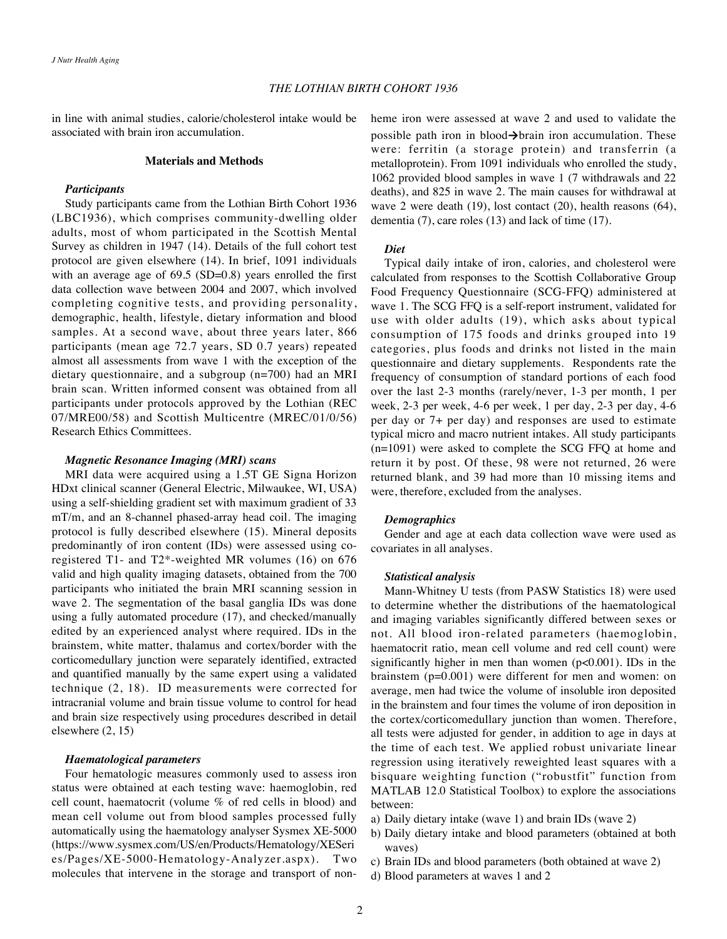in line with animal studies, calorie/cholesterol intake would be associated with brain iron accumulation.

### **Materials and Methods**

#### *Participants*

Study participants came from the Lothian Birth Cohort 1936 (LBC1936), which comprises community-dwelling older adults, most of whom participated in the Scottish Mental Survey as children in 1947 (14). Details of the full cohort test protocol are given elsewhere (14). In brief, 1091 individuals with an average age of 69.5 (SD=0.8) years enrolled the first data collection wave between 2004 and 2007, which involved completing cognitive tests, and providing personality, demographic, health, lifestyle, dietary information and blood samples. At a second wave, about three years later, 866 participants (mean age 72.7 years, SD 0.7 years) repeated almost all assessments from wave 1 with the exception of the dietary questionnaire, and a subgroup (n=700) had an MRI brain scan. Written informed consent was obtained from all participants under protocols approved by the Lothian (REC 07/MRE00/58) and Scottish Multicentre (MREC/01/0/56) Research Ethics Committees.

### *Magnetic Resonance Imaging (MRI) scans*

MRI data were acquired using a 1.5T GE Signa Horizon HDxt clinical scanner (General Electric, Milwaukee, WI, USA) using a self-shielding gradient set with maximum gradient of 33 mT/m, and an 8-channel phased-array head coil. The imaging protocol is fully described elsewhere (15). Mineral deposits predominantly of iron content (IDs) were assessed using coregistered T1- and T2\*-weighted MR volumes (16) on 676 valid and high quality imaging datasets, obtained from the 700 participants who initiated the brain MRI scanning session in wave 2. The segmentation of the basal ganglia IDs was done using a fully automated procedure (17), and checked/manually edited by an experienced analyst where required. IDs in the brainstem, white matter, thalamus and cortex/border with the corticomedullary junction were separately identified, extracted and quantified manually by the same expert using a validated technique (2, 18). ID measurements were corrected for intracranial volume and brain tissue volume to control for head and brain size respectively using procedures described in detail elsewhere (2, 15)

#### *Haematological parameters*

Four hematologic measures commonly used to assess iron status were obtained at each testing wave: haemoglobin, red cell count, haematocrit (volume % of red cells in blood) and mean cell volume out from blood samples processed fully automatically using the haematology analyser Sysmex XE-5000 (https://www.sysmex.com/US/en/Products/Hematology/XESeri es/Pages/XE-5000-Hematology-Analyzer.aspx). Two molecules that intervene in the storage and transport of nonheme iron were assessed at wave 2 and used to validate the possible path iron in blood**→**brain iron accumulation. These were: ferritin (a storage protein) and transferrin (a metalloprotein). From 1091 individuals who enrolled the study, 1062 provided blood samples in wave 1 (7 withdrawals and 22 deaths), and 825 in wave 2. The main causes for withdrawal at wave 2 were death (19), lost contact (20), health reasons (64), dementia (7), care roles (13) and lack of time (17).

#### *Diet*

Typical daily intake of iron, calories, and cholesterol were calculated from responses to the Scottish Collaborative Group Food Frequency Questionnaire (SCG-FFQ) administered at wave 1. The SCG FFQ is a self-report instrument, validated for use with older adults (19), which asks about typical consumption of 175 foods and drinks grouped into 19 categories, plus foods and drinks not listed in the main questionnaire and dietary supplements. Respondents rate the frequency of consumption of standard portions of each food over the last 2-3 months (rarely/never, 1-3 per month, 1 per week, 2-3 per week, 4-6 per week, 1 per day, 2-3 per day, 4-6 per day or 7+ per day) and responses are used to estimate typical micro and macro nutrient intakes. All study participants (n=1091) were asked to complete the SCG FFQ at home and return it by post. Of these, 98 were not returned, 26 were returned blank, and 39 had more than 10 missing items and were, therefore, excluded from the analyses.

#### *Demographics*

Gender and age at each data collection wave were used as covariates in all analyses.

#### *Statistical analysis*

Mann-Whitney U tests (from PASW Statistics 18) were used to determine whether the distributions of the haematological and imaging variables significantly differed between sexes or not. All blood iron-related parameters (haemoglobin, haematocrit ratio, mean cell volume and red cell count) were significantly higher in men than women (p<0.001). IDs in the brainstem (p=0.001) were different for men and women: on average, men had twice the volume of insoluble iron deposited in the brainstem and four times the volume of iron deposition in the cortex/corticomedullary junction than women. Therefore, all tests were adjusted for gender, in addition to age in days at the time of each test. We applied robust univariate linear regression using iteratively reweighted least squares with a bisquare weighting function ("robustfit" function from MATLAB 12.0 Statistical Toolbox) to explore the associations between:

- a) Daily dietary intake (wave 1) and brain IDs (wave 2)
- b) Daily dietary intake and blood parameters (obtained at both waves)
- c) Brain IDs and blood parameters (both obtained at wave 2)
- d) Blood parameters at waves 1 and 2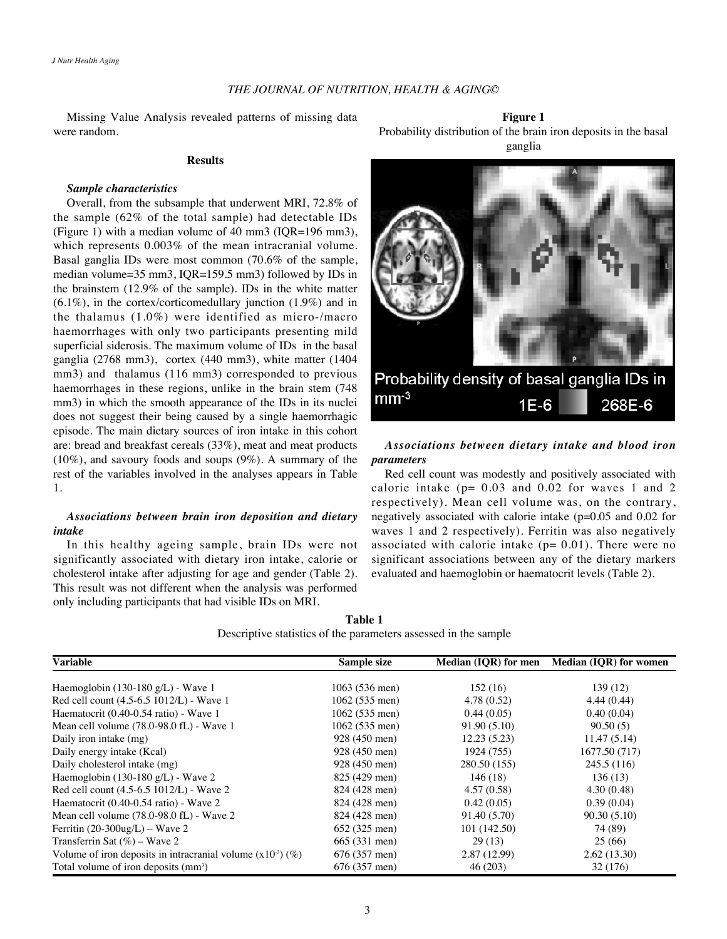### *THE JOURNAL OF NUTRITION, HEALTH & AGING©*

Missing Value Analysis revealed patterns of missing data were random.

#### **Results**

#### *Sample characteristics*

Overall, from the subsample that underwent MRI, 72.8% of the sample (62% of the total sample) had detectable IDs (Figure 1) with a median volume of 40 mm3 (IQR=196 mm3), which represents 0.003% of the mean intracranial volume. Basal ganglia IDs were most common (70.6% of the sample, median volume=35 mm3, IQR=159.5 mm3) followed by IDs in the brainstem (12.9% of the sample). IDs in the white matter  $(6.1\%)$ , in the cortex/corticomedullary junction  $(1.9\%)$  and in the thalamus (1.0%) were identified as micro-/macro haemorrhages with only two participants presenting mild superficial siderosis. The maximum volume of IDs in the basal ganglia (2768 mm3), cortex (440 mm3), white matter (1404 mm3) and thalamus (116 mm3) corresponded to previous haemorrhages in these regions, unlike in the brain stem (748 mm3) in which the smooth appearance of the IDs in its nuclei does not suggest their being caused by a single haemorrhagic episode. The main dietary sources of iron intake in this cohort are: bread and breakfast cereals (33%), meat and meat products (10%), and savoury foods and soups (9%). A summary of the rest of the variables involved in the analyses appears in Table 1.

### *Associations between brain iron deposition and dietary intake*

In this healthy ageing sample, brain IDs were not significantly associated with dietary iron intake, calorie or cholesterol intake after adjusting for age and gender (Table 2). This result was not different when the analysis was performed only including participants that had visible IDs on MRI.

**Figure 1** Probability distribution of the brain iron deposits in the basal ganglia



## *Associations between dietary intake and blood iron parameters*

Red cell count was modestly and positively associated with calorie intake ( $p= 0.03$  and 0.02 for waves 1 and 2 respectively). Mean cell volume was, on the contrary, negatively associated with calorie intake (p=0.05 and 0.02 for waves 1 and 2 respectively). Ferritin was also negatively associated with calorie intake  $(p= 0.01)$ . There were no significant associations between any of the dietary markers evaluated and haemoglobin or haematocrit levels (Table 2).

| Table 1                                                         |
|-----------------------------------------------------------------|
| Descriptive statistics of the parameters assessed in the sample |

| <b>Variable</b>                                              | Sample size     | Median (IOR) for men | Median (IQR) for women |
|--------------------------------------------------------------|-----------------|----------------------|------------------------|
|                                                              |                 |                      |                        |
| Haemoglobin (130-180 g/L) - Wave 1                           | $1063(536$ men) | 152(16)              | 139 (12)               |
| Red cell count (4.5-6.5 1012/L) - Wave 1                     | $1062(535$ men) | 4.78(0.52)           | 4.44(0.44)             |
| Haematocrit (0.40-0.54 ratio) - Wave 1                       | $1062(535$ men) | 0.44(0.05)           | 0.40(0.04)             |
| Mean cell volume $(78.0\n-98.0)$ fL $)$ - Wave 1             | $1062(535$ men) | 91.90(5.10)          | 90.50(5)               |
| Daily iron intake (mg)                                       | 928 (450 men)   | 12.23(5.23)          | 11.47(5.14)            |
| Daily energy intake (Kcal)                                   | 928 (450 men)   | 1924 (755)           | 1677.50 (717)          |
| Daily cholesterol intake (mg)                                | 928 (450 men)   | 280.50 (155)         | 245.5(116)             |
| Haemoglobin $(130-180 \text{ g/L})$ - Wave 2                 | 825 (429 men)   | 146(18)              | 136(13)                |
| Red cell count (4.5-6.5 1012/L) - Wave 2                     | 824 (428 men)   | 4.57(0.58)           | 4.30(0.48)             |
| Haematocrit (0.40-0.54 ratio) - Wave 2                       | 824 (428 men)   | 0.42(0.05)           | 0.39(0.04)             |
| Mean cell volume (78.0-98.0 fL) - Wave 2                     | 824 (428 men)   | 91.40 (5.70)         | 90.30(5.10)            |
| Ferritin $(20-300)$ ug/L) – Wave 2                           | $652(325$ men)  | 101 (142.50)         | 74 (89)                |
| Transferrin Sat $(\%)-$ Wave 2                               | 665 (331 men)   | 29(13)               | 25(66)                 |
| Volume of iron deposits in intracranial volume $(x10^3)$ (%) | 676 (357 men)   | 2.87(12.99)          | 2.62(13.30)            |
| Total volume of iron deposits (mm <sup>3</sup> )             | 676 (357 men)   | 46(203)              | 32 (176)               |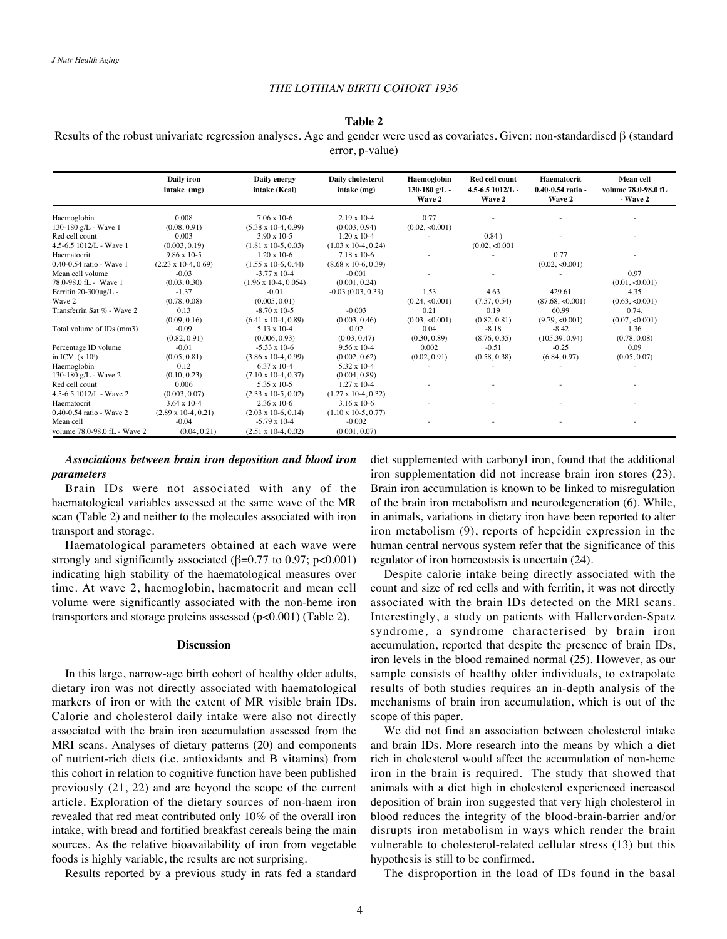### *THE LOTHIAN BIRTH COHORT 1936*

#### **Table 2**

Results of the robust univariate regression analyses. Age and gender were used as covariates. Given: non-standardised β (standard error, p-value)

|                              | Daily iron                   | Daily energy                  | Daily cholesterol             | Haemoglobin               | Red cell count            | <b>Haematocrit</b>              | Mean cell                       |
|------------------------------|------------------------------|-------------------------------|-------------------------------|---------------------------|---------------------------|---------------------------------|---------------------------------|
|                              | intake (mg)                  | intake (Kcal)                 | intake (mg)                   | 130-180 $g/L$ -<br>Wave 2 | 4.5-6.5 1012/L-<br>Wave 2 | $0.40 - 0.54$ ratio -<br>Wave 2 | volume 78.0-98.0 fL<br>- Wave 2 |
| Haemoglobin                  | 0.008                        | $7.06 \times 10^{-6}$         | $2.19 \times 10-4$            | 0.77                      |                           |                                 |                                 |
| 130-180 g/L - Wave 1         | (0.08, 0.91)                 | $(5.38 \times 10-4, 0.99)$    | (0.003, 0.94)                 | (0.02, <0.001)            |                           |                                 |                                 |
| Red cell count               | 0.003                        | $3.90 \times 10-5$            | $1.20 \times 10-4$            |                           | 0.84)                     |                                 |                                 |
| 4.5-6.5 1012/L - Wave 1      | (0.003, 0.19)                | $(1.81 \times 10^{-5}, 0.03)$ | $(1.03 \times 10{-4}, 0.24)$  |                           | (0.02, < 0.001            |                                 |                                 |
| Haematocrit                  | $9.86 \times 10-5$           | $1.20 \times 10^{-6}$         | $7.18 \times 10^{-6}$         |                           |                           | 0.77                            |                                 |
| 0.40-0.54 ratio - Wave 1     | $(2.23 \times 10{-4}, 0.69)$ | $(1.55 \times 10^{-6}, 0.44)$ | $(8.68 \times 10^{-6}, 0.39)$ |                           |                           | (0.02, < 0.001)                 |                                 |
| Mean cell volume             | $-0.03$                      | $-3.77 \times 10 - 4$         | $-0.001$                      |                           |                           |                                 | 0.97                            |
| 78.0-98.0 fL - Wave 1        | (0.03, 0.30)                 | $(1.96 \times 10{-4}, 0.054)$ | (0.001, 0.24)                 |                           |                           |                                 | (0.01, < 0.001)                 |
| Ferritin 20-300ug/L -        | $-1.37$                      | $-0.01$                       | $-0.03(0.03, 0.33)$           | 1.53                      | 4.63                      | 429.61                          | 4.35                            |
| Wave 2                       | (0.78, 0.08)                 | (0.005, 0.01)                 |                               | (0.24, <0.001)            | (7.57, 0.54)              | (87.68, <0.001)                 | (0.63, <0.001)                  |
| Transferrin Sat % - Wave 2   | 0.13                         | $-8.70 \times 10-5$           | $-0.003$                      | 0.21                      | 0.19                      | 60.99                           | 0.74,                           |
|                              | (0.09, 0.16)                 | $(6.41 \times 10{-4}, 0.89)$  | (0.003, 0.46)                 | (0.03, <0.001)            | (0.82, 0.81)              | (9.79, < 0.001)                 | (0.07, < 0.001)                 |
| Total volume of IDs (mm3)    | $-0.09$                      | $5.13 \times 10-4$            | 0.02                          | 0.04                      | $-8.18$                   | $-8.42$                         | 1.36                            |
|                              | (0.82, 0.91)                 | (0.006, 0.93)                 | (0.03, 0.47)                  | (0.30, 0.89)              | (8.76, 0.35)              | (105.39, 0.94)                  | (0.78, 0.08)                    |
| Percentage ID volume         | $-0.01$                      | $-5.33 \times 10-6$           | $9.56 \times 10-4$            | 0.002                     | $-0.51$                   | $-0.25$                         | 0.09                            |
| in ICV $(x 103)$             | (0.05, 0.81)                 | $(3.86 \times 10{-4}, 0.99)$  | (0.002, 0.62)                 | (0.02, 0.91)              | (0.58, 0.38)              | (6.84, 0.97)                    | (0.05, 0.07)                    |
| Haemoglobin                  | 0.12                         | $6.37 \times 10-4$            | 5.32 x 10-4                   |                           |                           |                                 |                                 |
| 130-180 g/L - Wave 2         | (0.10, 0.23)                 | $(7.10 \times 10{-4}, 0.37)$  | (0.004, 0.89)                 |                           |                           |                                 |                                 |
| Red cell count               | 0.006                        | $5.35 \times 10-5$            | $1.27 \times 10-4$            |                           |                           |                                 |                                 |
| 4.5-6.5 1012/L - Wave 2      | (0.003, 0.07)                | $(2.33 \times 10{-}5, 0.02)$  | $(1.27 \times 10{-4}, 0.32)$  |                           |                           |                                 |                                 |
| Haematocrit                  | $3.64 \times 10-4$           | $2.36 \times 10^{-6}$         | $3.16 \times 10^{-6}$         |                           |                           |                                 |                                 |
| 0.40-0.54 ratio - Wave 2     | $(2.89 \times 10{-4}, 0.21)$ | $(2.03 \times 10^{-6}, 0.14)$ | $(1.10 \times 10.5, 0.77)$    |                           |                           |                                 |                                 |
| Mean cell                    | $-0.04$                      | $-5.79 \times 10-4$           | $-0.002$                      |                           |                           |                                 |                                 |
| volume 78.0-98.0 fL - Wave 2 | (0.04, 0.21)                 | $(2.51 \times 10{-4}, 0.02)$  | (0.001, 0.07)                 |                           |                           |                                 |                                 |

*Associations between brain iron deposition and blood iron parameters*

Brain IDs were not associated with any of the haematological variables assessed at the same wave of the MR scan (Table 2) and neither to the molecules associated with iron transport and storage.

Haematological parameters obtained at each wave were strongly and significantly associated ( $\beta$ =0.77 to 0.97; p<0.001) indicating high stability of the haematological measures over time. At wave 2, haemoglobin, haematocrit and mean cell volume were significantly associated with the non-heme iron transporters and storage proteins assessed (p<0.001) (Table 2).

#### **Discussion**

In this large, narrow-age birth cohort of healthy older adults, dietary iron was not directly associated with haematological markers of iron or with the extent of MR visible brain IDs. Calorie and cholesterol daily intake were also not directly associated with the brain iron accumulation assessed from the MRI scans. Analyses of dietary patterns (20) and components of nutrient-rich diets (i.e. antioxidants and B vitamins) from this cohort in relation to cognitive function have been published previously (21, 22) and are beyond the scope of the current article. Exploration of the dietary sources of non-haem iron revealed that red meat contributed only 10% of the overall iron intake, with bread and fortified breakfast cereals being the main sources. As the relative bioavailability of iron from vegetable foods is highly variable, the results are not surprising.

Results reported by a previous study in rats fed a standard

diet supplemented with carbonyl iron, found that the additional iron supplementation did not increase brain iron stores (23). Brain iron accumulation is known to be linked to misregulation of the brain iron metabolism and neurodegeneration (6). While, in animals, variations in dietary iron have been reported to alter iron metabolism (9), reports of hepcidin expression in the human central nervous system refer that the significance of this regulator of iron homeostasis is uncertain (24).

Despite calorie intake being directly associated with the count and size of red cells and with ferritin, it was not directly associated with the brain IDs detected on the MRI scans. Interestingly, a study on patients with Hallervorden-Spatz syndrome, a syndrome characterised by brain iron accumulation, reported that despite the presence of brain IDs, iron levels in the blood remained normal (25). However, as our sample consists of healthy older individuals, to extrapolate results of both studies requires an in-depth analysis of the mechanisms of brain iron accumulation, which is out of the scope of this paper.

We did not find an association between cholesterol intake and brain IDs. More research into the means by which a diet rich in cholesterol would affect the accumulation of non-heme iron in the brain is required. The study that showed that animals with a diet high in cholesterol experienced increased deposition of brain iron suggested that very high cholesterol in blood reduces the integrity of the blood-brain-barrier and/or disrupts iron metabolism in ways which render the brain vulnerable to cholesterol-related cellular stress (13) but this hypothesis is still to be confirmed.

The disproportion in the load of IDs found in the basal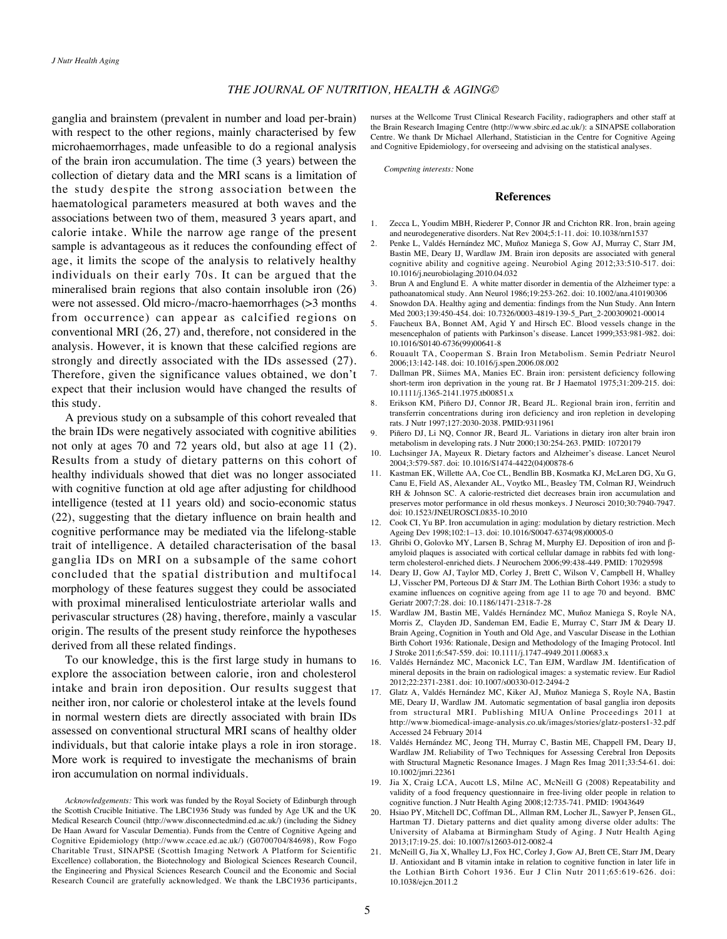ganglia and brainstem (prevalent in number and load per-brain) with respect to the other regions, mainly characterised by few microhaemorrhages, made unfeasible to do a regional analysis of the brain iron accumulation. The time (3 years) between the collection of dietary data and the MRI scans is a limitation of the study despite the strong association between the haematological parameters measured at both waves and the associations between two of them, measured 3 years apart, and calorie intake. While the narrow age range of the present sample is advantageous as it reduces the confounding effect of age, it limits the scope of the analysis to relatively healthy individuals on their early 70s. It can be argued that the mineralised brain regions that also contain insoluble iron (26) were not assessed. Old micro-/macro-haemorrhages (>3 months from occurrence) can appear as calcified regions on conventional MRI (26, 27) and, therefore, not considered in the analysis. However, it is known that these calcified regions are strongly and directly associated with the IDs assessed (27). Therefore, given the significance values obtained, we don't expect that their inclusion would have changed the results of this study.

A previous study on a subsample of this cohort revealed that the brain IDs were negatively associated with cognitive abilities not only at ages 70 and 72 years old, but also at age 11 (2). Results from a study of dietary patterns on this cohort of healthy individuals showed that diet was no longer associated with cognitive function at old age after adjusting for childhood intelligence (tested at 11 years old) and socio-economic status (22), suggesting that the dietary influence on brain health and cognitive performance may be mediated via the lifelong-stable trait of intelligence. A detailed characterisation of the basal ganglia IDs on MRI on a subsample of the same cohort concluded that the spatial distribution and multifocal morphology of these features suggest they could be associated with proximal mineralised lenticulostriate arteriolar walls and perivascular structures (28) having, therefore, mainly a vascular origin. The results of the present study reinforce the hypotheses derived from all these related findings.

To our knowledge, this is the first large study in humans to explore the association between calorie, iron and cholesterol intake and brain iron deposition. Our results suggest that neither iron, nor calorie or cholesterol intake at the levels found in normal western diets are directly associated with brain IDs assessed on conventional structural MRI scans of healthy older individuals, but that calorie intake plays a role in iron storage. More work is required to investigate the mechanisms of brain iron accumulation on normal individuals.

*Acknowledgements:* This work was funded by the Royal Society of Edinburgh through the Scottish Crucible Initiative. The LBC1936 Study was funded by Age UK and the UK Medical Research Council (http://www.disconnectedmind.ed.ac.uk/) (including the Sidney De Haan Award for Vascular Dementia). Funds from the Centre of Cognitive Ageing and Cognitive Epidemiology (http://www.ccace.ed.ac.uk/) (G0700704/84698), Row Fogo Charitable Trust, SINAPSE (Scottish Imaging Network A Platform for Scientific Excellence) collaboration, the Biotechnology and Biological Sciences Research Council, the Engineering and Physical Sciences Research Council and the Economic and Social Research Council are gratefully acknowledged. We thank the LBC1936 participants, nurses at the Wellcome Trust Clinical Research Facility, radiographers and other staff at the Brain Research Imaging Centre (http://www.sbirc.ed.ac.uk/): a SINAPSE collaboration Centre. We thank Dr Michael Allerhand, Statistician in the Centre for Cognitive Ageing and Cognitive Epidemiology, for overseeing and advising on the statistical analyses.

*Competing interests:* None

#### **References**

- 1. Zecca L, Youdim MBH, Riederer P, Connor JR and Crichton RR. Iron, brain ageing and neurodegenerative disorders. Nat Rev 2004;5:1-11. doi: 10.1038/nrn1537
- 2. Penke L, Valdés Hernández MC, Muñoz Maniega S, Gow AJ, Murray C, Starr JM, Bastin ME, Deary IJ, Wardlaw JM. Brain iron deposits are associated with general cognitive ability and cognitive ageing. Neurobiol Aging 2012;33:510-517. doi: 10.1016/j.neurobiolaging.2010.04.032
- 3. Brun A and Englund E. A white matter disorder in dementia of the Alzheimer type: a pathoanatomical study. Ann Neurol 1986;19:253-262. doi: 10.1002/ana.410190306
- 4. Snowdon DA. Healthy aging and dementia: findings from the Nun Study. Ann Intern Med 2003;139:450-454. doi: 10.7326/0003-4819-139-5\_Part\_2-200309021-00014
- Faucheux BA, Bonnet AM, Agid Y and Hirsch EC. Blood vessels change in the mesencephalon of patients with Parkinson's disease. Lancet 1999;353:981-982. doi: 10.1016/S0140-6736(99)00641-8
- 6. Rouault TA, Cooperman S. Brain Iron Metabolism. Semin Pedriatr Neurol 2006;13:142-148. doi: 10.1016/j.spen.2006.08.002
- 7. Dallman PR, Siimes MA, Manies EC. Brain iron: persistent deficiency following short-term iron deprivation in the young rat. Br J Haematol 1975;31:209-215. doi: 10.1111/j.1365-2141.1975.tb00851.x
- 8. Erikson KM, Piñero DJ, Connor JR, Beard JL. Regional brain iron, ferritin and transferrin concentrations during iron deficiency and iron repletion in developing rats. J Nutr 1997;127:2030-2038. PMID:9311961
- 9. Piñero DJ, Li NQ, Connor JR, Beard JL. Variations in dietary iron alter brain iron metabolism in developing rats. J Nutr 2000;130:254-263. PMID: 10720179
- 10. Luchsinger JA, Mayeux R. Dietary factors and Alzheimer's disease. Lancet Neurol 2004;3:579-587. doi: 10.1016/S1474-4422(04)00878-6
- 11. Kastman EK, Willette AA, Coe CL, Bendlin BB, Kosmatka KJ, McLaren DG, Xu G, Canu E, Field AS, Alexander AL, Voytko ML, Beasley TM, Colman RJ, Weindruch RH & Johnson SC. A calorie-restricted diet decreases brain iron accumulation and preserves motor performance in old rhesus monkeys. J Neurosci 2010;30:7940-7947. doi: 10.1523/JNEUROSCI.0835-10.2010
- 12. Cook CI, Yu BP. Iron accumulation in aging: modulation by dietary restriction. Mech Ageing Dev 1998;102:1–13. doi: 10.1016/S0047-6374(98)00005-0
- 13. Ghribi O, Golovko MY, Larsen B, Schrag M, Murphy EJ. Deposition of iron and βamyloid plaques is associated with cortical cellular damage in rabbits fed with longterm cholesterol-enriched diets. J Neurochem 2006;99:438-449. PMID: 17029598
- 14. Deary IJ, Gow AJ, Taylor MD, Corley J, Brett C, Wilson V, Campbell H, Whalley LJ, Visscher PM, Porteous DJ & Starr JM. The Lothian Birth Cohort 1936: a study to examine influences on cognitive ageing from age 11 to age 70 and beyond. BMC Geriatr 2007;7:28. doi: 10.1186/1471-2318-7-28
- 15. Wardlaw JM, Bastin ME, Valdés Hernández MC, Muñoz Maniega S, Royle NA, Morris Z, Clayden JD, Sandeman EM, Eadie E, Murray C, Starr JM & Deary IJ. Brain Ageing, Cognition in Youth and Old Age, and Vascular Disease in the Lothian Birth Cohort 1936: Rationale, Design and Methodology of the Imaging Protocol. Intl J Stroke 2011;6:547-559. doi: 10.1111/j.1747-4949.2011.00683.x
- 16. Valdés Hernández MC, Maconick LC, Tan EJM, Wardlaw JM. Identification of mineral deposits in the brain on radiological images: a systematic review. Eur Radiol 2012;22:2371-2381. doi: 10.1007/s00330-012-2494-2
- 17. Glatz A, Valdés Hernández MC, Kiker AJ, Muñoz Maniega S, Royle NA, Bastin ME, Deary IJ, Wardlaw JM. Automatic segmentation of basal ganglia iron deposits from structural MRI. Publishing MIUA Online Proceedings 2011 at http://www.biomedical-image-analysis.co.uk/images/stories/glatz-posters1-32.pdf Accessed 24 February 2014
- 18. Valdés Hernández MC, Jeong TH, Murray C, Bastin ME, Chappell FM, Deary IJ, Wardlaw JM. Reliability of Two Techniques for Assessing Cerebral Iron Deposits with Structural Magnetic Resonance Images. J Magn Res Imag 2011;33:54-61. doi: 10.1002/jmri.22361
- 19. Jia X, Craig LCA, Aucott LS, Milne AC, McNeill G (2008) Repeatability and validity of a food frequency questionnaire in free-living older people in relation to cognitive function. J Nutr Health Aging 2008;12:735-741. PMID: 19043649
- 20. Hsiao PY, Mitchell DC, Coffman DL, Allman RM, Locher JL, Sawyer P, Jensen GL, Hartman TJ. Dietary patterns and diet quality among diverse older adults: The University of Alabama at Birmingham Study of Aging. J Nutr Health Aging 2013;17:19-25. doi: 10.1007/s12603-012-0082-4
- 21. McNeill G, Jia X, Whalley LJ, Fox HC, Corley J, Gow AJ, Brett CE, Starr JM, Deary IJ. Antioxidant and B vitamin intake in relation to cognitive function in later life in the Lothian Birth Cohort 1936. Eur J Clin Nutr 2011;65:619-626. doi: 10.1038/ejcn.2011.2